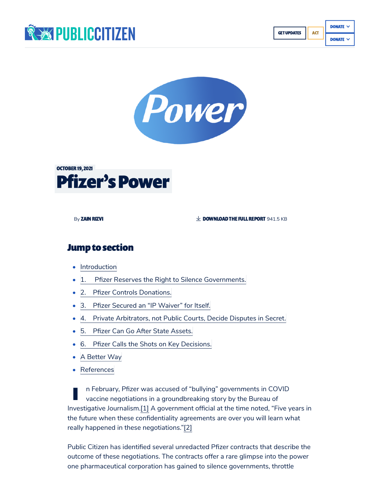





By [ZAINRIZVI](https://www.citizen.org/about/person/zain-rizvi/) [DOWNLOADTHE](https://www.citizen.org/wp-content/uploads/Pfizer-power-Oct-19-final-web.pdf) FULL REPORT 941.5 KB

#### **Jump to section**

- [Introduction](#page-0-0)
- 1. Pfizer Reserves the Right to Silence [Governments.](#page-2-0)
- 2. Pfizer Controls [Donations.](#page-2-1)
- 3. Pfizer [Secured an](#page-3-0) "IP Waiver" for Itself.
- 4. Private [Arbitrators,](#page-3-1) not Public Courts, Decide Disputes in Secret.
- 5. Pfizer Can Go After State [Assets.](#page-4-0)
- 6. Pfizer Calls the Shots on Key [Decisions.](#page-5-1)
- A [Better](#page-5-2) Way
- [References](#page-5-3)

<span id="page-0-1"></span><span id="page-0-0"></span>I n February, Pfizer was accused of "bullying" governments in COVID vaccine negotiations in a groundbreaking story by the Bureau of Investigative Journalism.[\[1\]](#page-5-0) A government official at the time noted, "Five years in the future when these confidentiality agreements are over you will learn what really happened in these negotiations.["\[2\]](#page-6-0)

<span id="page-0-2"></span>Public Citizen has identified several unredacted Pfizer contracts that describe the outcome of these negotiations. The contracts offer a rare glimpse into the power one pharmaceutical corporation has gained to silence governments, throttle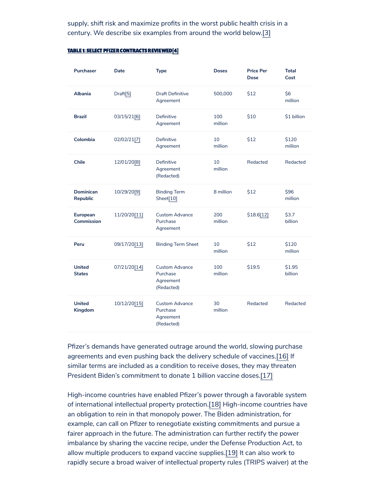<span id="page-1-0"></span>supply, shift risk and maximize profits in the worst public health crisis in a century. We describe six examples from around the world below.[\[3\]](#page-6-1)

<span id="page-1-7"></span><span id="page-1-6"></span><span id="page-1-5"></span><span id="page-1-4"></span><span id="page-1-3"></span><span id="page-1-2"></span>

| <b>Purchaser</b>               | Date                 | <b>Type</b>                                                  | <b>Doses</b>   | <b>Price Per</b><br><b>Dose</b> | <b>Total</b><br>Cost |
|--------------------------------|----------------------|--------------------------------------------------------------|----------------|---------------------------------|----------------------|
| <b>Albania</b>                 | Draft <sup>[5]</sup> | <b>Draft Definitive</b><br>Agreement                         | 500,000        | \$12                            | \$6<br>million       |
| <b>Brazil</b>                  | 03/15/21[6]          | Definitive<br>Agreement                                      | 100<br>million | \$10                            | \$1 billion          |
| Colombia                       | 02/02/21 [7]         | Definitive<br>Agreement                                      | 10<br>million  | \$12                            | \$120<br>million     |
| <b>Chile</b>                   | 12/01/20[8]          | Definitive<br>Agreement<br>(Redacted)                        | 10<br>million  | Redacted                        | Redacted             |
| <b>Dominican</b><br>Republic   | 10/29/20[9]          | <b>Binding Term</b><br>Sheet <sup>[10]</sup>                 | 8 million      | \$12                            | \$96<br>million      |
| <b>European</b><br>Commission  | 11/20/20 [11]        | <b>Custom Advance</b><br>Purchase<br>Agreement               | 200<br>million | \$18.6[12]                      | \$3.7<br>billion     |
| Peru                           | 09/17/20[13]         | <b>Binding Term Sheet</b>                                    | 10<br>million  | \$12                            | \$120<br>million     |
| <b>United</b><br><b>States</b> | 07/21/20[14]         | <b>Custom Advance</b><br>Purchase<br>Agreement<br>(Redacted) | 100<br>million | \$19.5                          | \$1.95<br>billion    |
| <b>United</b><br>Kingdom       | 10/12/20 [15]        | <b>Custom Advance</b><br>Purchase<br>Agreement<br>(Redacted) | 30<br>million  | Redacted                        | Redacted             |

#### <span id="page-1-1"></span>TABLE 1: SELECT PFIZER CONTRACTS REVIEWED[\[4\]](#page-6-2)

<span id="page-1-13"></span><span id="page-1-12"></span><span id="page-1-11"></span><span id="page-1-10"></span><span id="page-1-9"></span><span id="page-1-8"></span>Pfizer's demands have generated outrage around the world, slowing purchase agreements and even pushing back the delivery schedule of vaccines[.\[16\]](#page-7-4) If similar terms are included as a condition to receive doses, they may threaten President Biden's commitment to donate 1 billion vaccine doses.[\[17\]](#page-7-5)

<span id="page-1-16"></span><span id="page-1-15"></span><span id="page-1-14"></span>High-income countries have enabled Pfizer's power through a favorable system of international intellectual property protection.[\[18\]](#page-7-6) High-income countries have an obligation to rein in that monopoly power. The Biden administration, for example, can call on Pfizer to renegotiate existing commitments and pursue a fairer approach in the future. The administration can further rectify the power imbalance by sharing the vaccine recipe, under the Defense Production Act, to allow multiple producers to expand vaccine supplies.[\[19\]](#page-7-7) It can also work to rapidly secure a broad waiver of intellectual property rules (TRIPS waiver) at the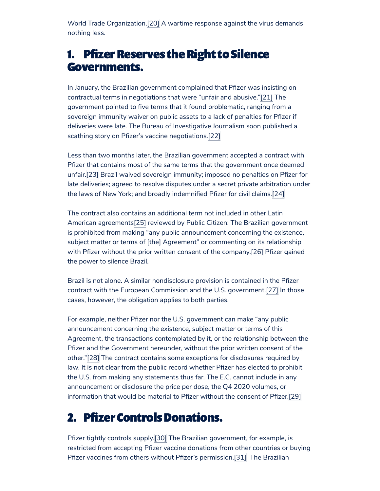<span id="page-2-2"></span>World Trade Organization[.\[20\]](#page-7-8) A wartime response against the virus demands nothing less.

# <span id="page-2-0"></span>1. Pfizer Reserves the Right to Silence Governments.

<span id="page-2-3"></span>In January, the Brazilian government complained that Pfizer was insisting on contractual terms in negotiations that were "unfair and abusive."[\[21\]](#page-7-9) The government pointed to five terms that it found problematic, ranging from a sovereign immunity waiver on public assets to a lack of penalties for Pfizer if deliveries were late. The Bureau of Investigative Journalism soon published a scathing story on Pfizer's vaccine negotiations.[\[22\]](#page-8-0)

<span id="page-2-5"></span><span id="page-2-4"></span>Less than two months later, the Brazilian government accepted a contract with Pfizer that contains most of the same terms that the government once deemed unfair[.\[23\]](#page-8-1) Brazil waived sovereign immunity; imposed no penalties on Pfizer for late deliveries; agreed to resolve disputes under a secret private arbitration under the laws of New York; and broadly indemnified Pfizer for civil claims.[\[24\]](#page-8-2)

<span id="page-2-7"></span><span id="page-2-6"></span>The contract also contains an additional term not included in other Latin American agreements<sup>[\[25\]](#page-8-3)</sup> reviewed by Public Citizen: The Brazilian government is prohibited from making "any public announcement concerning the existence, subject matter or terms of [the] Agreement" or commenting on its relationship with Pfizer without the prior written consent of the company.<sup>[\[26\]](#page-8-4)</sup> Pfizer gained the power to silence Brazil.

<span id="page-2-9"></span><span id="page-2-8"></span>Brazil is not alone. A similar nondisclosure provision is contained in the Pfizer contract with the European Commission and the U.S. government.[\[27\]](#page-8-5) In those cases, however, the obligation applies to both parties.

<span id="page-2-10"></span>For example, neither Pfizer nor the U.S. government can make "any public announcement concerning the existence, subject matter or terms of this Agreement, the transactions contemplated by it, or the relationship between the Pfizer and the Government hereunder, without the prior written consent of the other."[\[28\]](#page-8-6) The contract contains some exceptions for disclosures required by law. It is not clear from the public record whether Pfizer has elected to prohibit the U.S. from making any statements thus far. The E.C. cannot include in any announcement or disclosure the price per dose, the Q4 2020 volumes, or information that would be material to Pfizer without the consent of Pfizer[.\[29\]](#page-8-7)

# <span id="page-2-11"></span><span id="page-2-1"></span>2. Pfizer Controls Donations.

<span id="page-2-13"></span><span id="page-2-12"></span>Pfizer tightly controls supply.[\[30\]](#page-8-8) The Brazilian government, for example, is restricted from accepting Pfizer vaccine donations from other countries or buying Pfizer vaccines from others without Pfizer's permission.<sup>[31]</sup> The Brazilian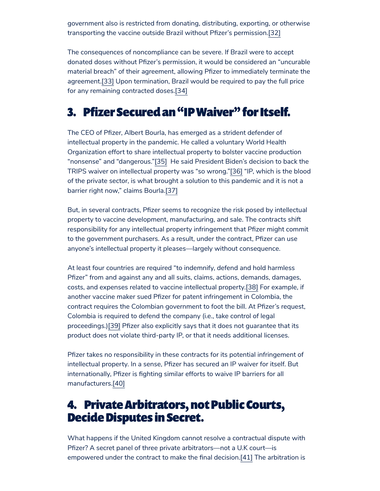<span id="page-3-2"></span>government also is restricted from donating, distributing, exporting, or otherwise transporting the vaccine outside Brazil without Pfizer's permission.[\[32\]](#page-9-0)

<span id="page-3-3"></span>The consequences of noncompliance can be severe. If Brazil were to accept donated doses without Pfizer's permission, it would be considered an "uncurable material breach" of their agreement, allowing Pfizer to immediately terminate the agreement.[\[33\]](#page-9-1) Upon termination, Brazil would be required to pay the full price for any remaining contracted doses[.\[34\]](#page-9-2)

# <span id="page-3-4"></span><span id="page-3-0"></span>3. Pfizer Securedan "IPWaiver" for Itself.

<span id="page-3-6"></span><span id="page-3-5"></span>The CEO of Pfizer, Albert Bourla, has emerged as a strident defender of intellectual property in the pandemic. He called a voluntary World Health Organization effort to share intellectual property to bolster vaccine production "nonsense" and "dangerous.["\[35\]](#page-9-3) He said President Biden's decision to back the TRIPS waiver on intellectual property was "so wrong.["\[36\]](#page-9-4) "IP, which is the blood of the private sector, is what brought a solution to this pandemic and it is not a barrier right now," claims Bourla.[\[37\]](#page-9-5)

<span id="page-3-7"></span>But, in several contracts, Pfizer seems to recognize the risk posed by intellectual property to vaccine development, manufacturing, and sale. The contracts shift responsibility for any intellectual property infringement that Pfizer might commit to the government purchasers. As a result, under the contract, Pfizer can use anyone's intellectual property it pleases—largely without consequence.

<span id="page-3-8"></span>At least four countries are required "to indemnify, defend and hold harmless Pfizer" from and against any and all suits, claims, actions, demands, damages, costs, and expenses related to vaccine intellectual property[.\[38\]](#page-9-6) For example, if another vaccine maker sued Pfizer for patent infringement in Colombia, the contract requires the Colombian government to foot the bill. At Pfizer's request, Colombia is required to defend the company (i.e., take control of legal proceedings.[\)\[39\]](#page-9-7) Pfizer also explicitly says that it does not guarantee that its product does not violate third-party IP, or that it needs additional licenses.

<span id="page-3-9"></span>Pfizer takes no responsibility in these contracts for its potential infringement of intellectual property. In a sense, Pfizer has secured an IP waiver for itself. But internationally, Pfizer is fighting similar efforts to waive IP barriers for all manufacturers[.\[40\]](#page-9-8)

## <span id="page-3-10"></span><span id="page-3-1"></span>4. Private Arbitrators, not Public Courts, Decide Disputes in Secret.

<span id="page-3-11"></span>What happens if the United Kingdom cannot resolve a contractual dispute with Pfizer? A secret panel of three private arbitrators—not a U.K court—is empowered under the contract to make the final decision[.\[41\]](#page-10-0) The arbitration is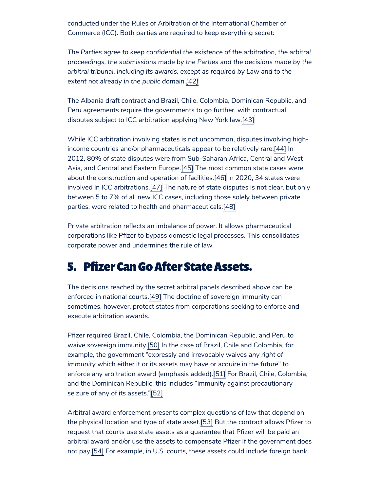conducted under the Rules of Arbitration of the International Chamber of Commerce (ICC). Both parties are required to keep everything secret:

*The Parties agree to keep confidential the existence of the arbitration, the arbitral proceedings, the submissions made by the Parties and the decisions made by the arbitral tribunal, including its awards, except as required by Law and to the extent not already in the public domain.[\[42\]](#page-10-1)*

<span id="page-4-2"></span><span id="page-4-1"></span>The Albania draft contract and Brazil, Chile, Colombia, Dominican Republic, and Peru agreements require the governments to go further, with contractual disputes subject to ICC arbitration applying New York law[.\[43\]](#page-10-2)

<span id="page-4-5"></span><span id="page-4-4"></span><span id="page-4-3"></span>While ICC arbitration involving states is not uncommon, disputes involving highincome countries and/or pharmaceuticals appear to be relatively rare[.\[44\]](#page-10-3) In 2012, 80% of state disputes were from Sub-Saharan Africa, Central and West Asia, and Central and Eastern Europe.[\[45\]](#page-10-4) The most common state cases were about the construction and operation of facilities[.\[46\]](#page-10-5) In 2020, 34 states were involved in ICC arbitrations.[\[47\]](#page-10-6) The nature of state disputes is not clear, but only between 5 to 7% of all new ICC cases, including those solely between private parties, were related to health and pharmaceuticals[.\[48\]](#page-10-7)

<span id="page-4-7"></span><span id="page-4-6"></span>Private arbitration reflects an imbalance of power. It allows pharmaceutical corporations like Pfizer to bypass domestic legal processes. This consolidates corporate power and undermines the rule of law.

### <span id="page-4-0"></span>5. Pfizer Can Go After State Assets.

<span id="page-4-8"></span>The decisions reached by the secret arbitral panels described above can be enforced in national courts[.\[49\]](#page-10-8) The doctrine of sovereign immunity can sometimes, however, protect states from corporations seeking to enforce and execute arbitration awards.

<span id="page-4-10"></span><span id="page-4-9"></span>Pfizer required Brazil, Chile, Colombia, the Dominican Republic, and Peru to waive sovereign immunity.[\[50\]](#page-11-0) In the case of Brazil, Chile and Colombia, for example, the government "expressly and irrevocably waives *any right of immunity* which either it or its assets may have or acquire in the future" to enforce any arbitration award (emphasis added).[\[51\]](#page-11-1) For Brazil, Chile, Colombia, and the Dominican Republic, this includes "immunity against precautionary seizure of any of its assets."[\[52\]](#page-11-2)

<span id="page-4-13"></span><span id="page-4-12"></span><span id="page-4-11"></span>Arbitral award enforcement presents complex questions of law that depend on the physical location and type of state asset[.\[53\]](#page-11-3) But the contract allows Pfizer to request that courts use state assets as a guarantee that Pfizer will be paid an arbitral award and/or use the assets to compensate Pfizer if the government does not pay[.\[54\]](#page-11-4) For example, in U.S. courts, these assets could include foreign bank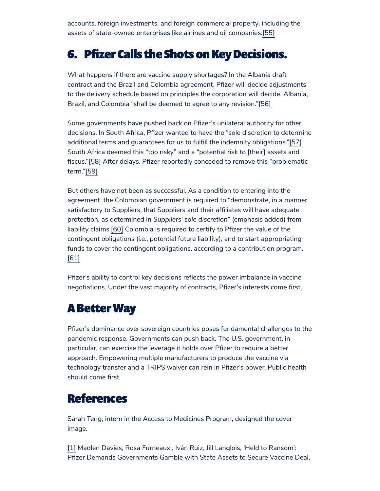<span id="page-5-4"></span>accounts, foreign investments, and foreign commercial property, including the assets of state-owned enterprises like airlines and oil companies[.\[55\]](#page-11-5)

# <span id="page-5-1"></span>6. Pfizer Calls the Shots on Key Decisions.

What happens if there are vaccine supply shortages? In the Albania draft contract and the Brazil and Colombia agreement, Pfizer will decide adjustments to the delivery schedule based on principles the corporation will decide. Albania, Brazil, and Colombia "shall be deemed to agree to any revision."[\[56\]](#page-11-6)

<span id="page-5-6"></span><span id="page-5-5"></span>Some governments have pushed back on Pfizer's unilateral authority for other decisions. In South Africa, Pfizer wanted to have the "sole discretion to determine additional terms and guarantees for us to fulfill the indemnity obligations.["\[57\]](#page-11-7) South Africa deemed this "too risky" and a "potential risk to [their] assets and fiscus."[\[58\]](#page-11-8) After delays, Pfizer reportedly conceded to remove this "problematic term."[\[59\]](#page-11-9)

<span id="page-5-9"></span><span id="page-5-8"></span><span id="page-5-7"></span>But others have not been as successful. As a condition to entering into the agreement, the Colombian government is required to "demonstrate, in a manner satisfactory to Suppliers, that Suppliers and their affiliates will have adequate protection, as determined in *Suppliers' sole discretion*" (emphasis added) from liability claims.[\[60\]](#page-11-10) Colombia is required to certify to Pfizer the value of the contingent obligations (i.e., potential future liability), and to start appropriating funds to cover the contingent obligations, according to a contribution program. [\[61\]](#page-11-11)

<span id="page-5-10"></span>Pfizer's ability to control key decisions reflects the power imbalance in vaccine negotiations. Under the vast majority of contracts, Pfizer's interests come first.

#### <span id="page-5-2"></span>**A Better Way**

Pfizer's dominance over sovereign countries poses fundamental challenges to the pandemic response. Governments can push back. The U.S. government, in particular, can exercise the leverage it holds over Pfizer to require a better approach. Empowering multiple manufacturers to produce the vaccine via technology transfer and a TRIPS waiver can rein in Pfizer's power. Public health should come first.

## <span id="page-5-3"></span>References

Sarah Teng, intern in the Access to Medicines Program, designed the cover image.

<span id="page-5-0"></span>[\[1\]](#page-0-1) Madlen Davies, Rosa Furneaux , Iván Ruiz, Jill Langlois, 'Held to Ransom': Pfizer Demands Governments Gamble with State Assets to Secure Vaccine Deal,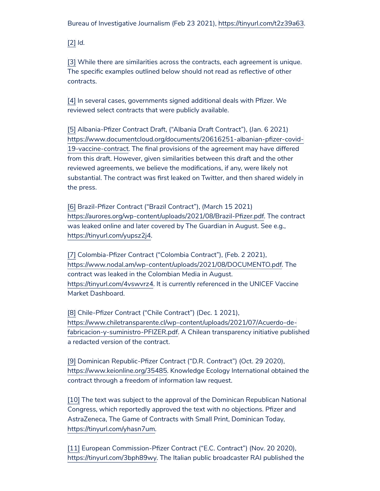Bureau of Investigative Journalism (Feb 23 2021), [https://tinyurl.com/t2z39a63.](https://tinyurl.com/t2z39a63)

<span id="page-6-0"></span>[\[2\]](#page-0-2) *Id.*

<span id="page-6-1"></span>[\[3\]](#page-1-0) While there are similarities across the contracts, each agreement is unique. The specific examples outlined below should not read as reflective of other contracts.

<span id="page-6-2"></span>[\[4\]](#page-1-1) In several cases, governments signed additional deals with Pfizer. We reviewed select contracts that were publicly available.

<span id="page-6-3"></span>[\[5\]](#page-1-2) Albania-Pfizer Contract Draft, ("Albania Draft Contract"), (Jan. 6 2021) [https://www.documentcloud.org/documents/20616251-albanian-pfizer-covid-](https://www.documentcloud.org/documents/20616251-albanian-pfizer-covid-19-vaccine-contract)19-vaccine-contract. The final provisions of the agreement may have differed from this draft. However, given similarities between this draft and the other reviewed agreements, we believe the modifications, if any, were likely not substantial. The contract was first leaked on Twitter, and then shared widely in the press.

<span id="page-6-4"></span>[\[6\]](#page-1-3) Brazil-Pfizer Contract ("Brazil Contract"), (March 15 2021) <https://aurores.org/wp-content/uploads/2021/08/Brazil-Pfizer.pdf>. The contract was leaked online and later covered by The Guardian in August. See e.g., <https://tinyurl.com/yupsz2j4>.

<span id="page-6-5"></span>[\[7\]](#page-1-4) Colombia-Pfizer Contract ("Colombia Contract"), (Feb. 2 2021), <https://www.nodal.am/wp-content/uploads/2021/08/DOCUMENTO.pdf>. The contract was leaked in the Colombian Media in August. <https://tinyurl.com/4vswvrz4>. It is currently referenced in the UNICEF Vaccine Market Dashboard.

<span id="page-6-6"></span>[\[8\]](#page-1-5) Chile-Pfizer Contract ("Chile Contract") (Dec. 1 2021), [https://www.chiletransparente.cl/wp-content/uploads/2021/07/Acuerdo-de](https://www.chiletransparente.cl/wp-content/uploads/2021/07/Acuerdo-de-fabricacion-y-suministro-PFIZER.pdf)fabricacion-y-suministro-PFIZER.pdf. A Chilean transparency initiative published a redacted version of the contract.

<span id="page-6-7"></span>[\[9\]](#page-1-6) Dominican Republic-Pfizer Contract ("D.R. Contract") (Oct. 29 2020), <https://www.keionline.org/35485>. Knowledge Ecology International obtained the contract through a freedom of information law request.

<span id="page-6-8"></span>[\[10\]](#page-1-7) The text was subject to the approval of the Dominican Republican National Congress, which reportedly approved the text with no objections. Pfizer and AstraZeneca, The Game of Contracts with Small Print, Dominican Today, [https://tinyurl.com/yhasn7um.](https://tinyurl.com/yhasn7um)

<span id="page-6-9"></span>[\[11\]](#page-1-8) European Commission-Pfizer Contract ("E.C. Contract") (Nov. 20 2020), [https://tinyurl.com/3bph89wy.](https://tinyurl.com/3bph89wy) The Italian public broadcaster RAI published the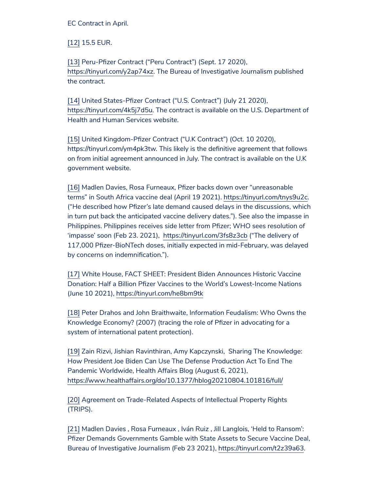EC Contract in April.

<span id="page-7-0"></span>[\[12\]](#page-1-9) 15.5 EUR.

<span id="page-7-1"></span>[\[13\]](#page-1-10) Peru-Pfizer Contract ("Peru Contract") (Sept. 17 2020), <https://tinyurl.com/y2ap74xz>. The Bureau of Investigative Journalism published the contract.

<span id="page-7-2"></span>[\[14\]](#page-1-11) United States-Pfizer Contract ("U.S. Contract") (July 21 2020), [https://tinyurl.com/4k5j7d5u.](https://tinyurl.com/4k5j7d5u) The contract is available on the U.S. Department of Health and Human Services website.

<span id="page-7-3"></span>[\[15\]](#page-1-12) United Kingdom-Pfizer Contract ("U.K Contract") (Oct. 10 2020), https://tinyurl.com/ym4pk3tw. This likely is the definitive agreement that follows on from initial agreement announced in July. The contract is available on the U.K government website.

<span id="page-7-4"></span>[\[16\]](#page-1-13) Madlen Davies, Rosa Furneaux, Pfizer backs down over "unreasonable terms" in South Africa vaccine deal (April 19 2021). [https://tinyurl.com/tnys9u2c.](https://tinyurl.com/tnys9u2c) ("He described how Pfizer's late demand caused delays in the discussions, which in turn put back the anticipated vaccine delivery dates."). See also the impasse in Philippines. Philippines receives side letter from Pfizer; WHO sees resolution of 'impasse' soon (Feb 23. 2021), <https://tinyurl.com/3fs8z3cb> ("The delivery of 117,000 Pfizer-BioNTech doses, initially expected in mid-February, was delayed by concerns on indemnification.").

<span id="page-7-5"></span>[\[17\]](#page-1-14) White House, FACT SHEET: President Biden Announces Historic Vaccine Donation: Half a Billion Pfizer Vaccines to the World's Lowest-Income Nations (June 10 2021), <https://tinyurl.com/he8bm9tk>

<span id="page-7-6"></span>[\[18\]](#page-1-15) Peter Drahos and John Braithwaite, Information Feudalism: Who Owns the Knowledge Economy? (2007) (tracing the role of Pfizer in advocating for a system of international patent protection).

<span id="page-7-7"></span>[\[19\]](#page-1-16) Zain Rizvi, Jishian Ravinthiran, Amy Kapczynski, Sharing The Knowledge: How President Joe Biden Can Use The Defense Production Act To End The Pandemic Worldwide, Health Affairs Blog (August 6, 2021), <https://www.healthaffairs.org/do/10.1377/hblog20210804.101816/full/>

<span id="page-7-8"></span>[\[20\]](#page-2-2) Agreement on Trade-Related Aspects of Intellectual Property Rights (TRIPS).

<span id="page-7-9"></span>[\[21\]](#page-2-3) Madlen Davies , Rosa Furneaux , Iván Ruiz , Jill Langlois, 'Held to Ransom': Pfizer Demands Governments Gamble with State Assets to Secure Vaccine Deal, Bureau of Investigative Journalism (Feb 23 2021), [https://tinyurl.com/t2z39a63.](https://tinyurl.com/t2z39a63)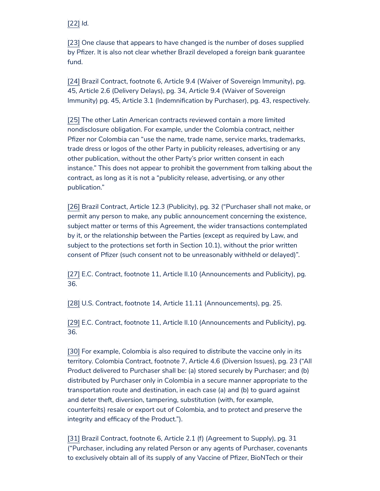<span id="page-8-0"></span>[\[22\]](#page-2-4) *Id.*

<span id="page-8-1"></span>[\[23\]](#page-2-5) One clause that appears to have changed is the number of doses supplied by Pfizer. It is also not clear whether Brazil developed a foreign bank guarantee fund.

<span id="page-8-2"></span>[\[24\]](#page-2-6) Brazil Contract, footnote 6, Article 9.4 (Waiver of Sovereign Immunity), pg. 45, Article 2.6 (Delivery Delays), pg. 34, Article 9.4 (Waiver of Sovereign Immunity) pg. 45, Article 3.1 (Indemnification by Purchaser), pg. 43, respectively.

<span id="page-8-3"></span>[\[25\]](#page-2-7) The other Latin American contracts reviewed contain a more limited nondisclosure obligation. For example, under the Colombia contract, neither Pfizer nor Colombia can "use the name, trade name, service marks, trademarks, trade dress or logos of the other Party in publicity releases, advertising or any other publication, without the other Party's prior written consent in each instance." This does not appear to prohibit the government from talking about the contract, as long as it is not a "publicity release, advertising, or any other publication."

<span id="page-8-4"></span>[\[26\]](#page-2-8) Brazil Contract, Article 12.3 (Publicity), pg. 32 ("Purchaser shall not make, or permit any person to make, any public announcement concerning the existence, subject matter or terms of this Agreement, the wider transactions contemplated by it, or the relationship between the Parties (except as required by Law, and subject to the protections set forth in Section 10.1), without the prior written consent of Pfizer (such consent not to be unreasonably withheld or delayed)".

<span id="page-8-5"></span>[\[27\]](#page-2-9) E.C. Contract, footnote 11, Article II.10 (Announcements and Publicity), pg. 36.

<span id="page-8-6"></span>[\[28\]](#page-2-10) U.S. Contract, footnote 14, Article 11.11 (Announcements), pg. 25.

<span id="page-8-7"></span>[\[29\]](#page-2-11) E.C. Contract, footnote 11, Article II.10 (Announcements and Publicity), pg. 36.

<span id="page-8-8"></span>[\[30\]](#page-2-12) For example, Colombia is also required to distribute the vaccine only in its territory. Colombia Contract, footnote 7, Article 4.6 (Diversion Issues), pg. 23 ("All Product delivered to Purchaser shall be: (a) stored securely by Purchaser; and (b) distributed by Purchaser only in Colombia in a secure manner appropriate to the transportation route and destination, in each case (a) and (b) to guard against and deter theft, diversion, tampering, substitution (with, for example, counterfeits) resale or export out of Colombia, and to protect and preserve the integrity and efficacy of the Product.").

<span id="page-8-9"></span>[\[31\]](#page-2-13) Brazil Contract, footnote 6, Article 2.1 (f) (Agreement to Supply), pg. 31 ("Purchaser, including any related Person or any agents of Purchaser, covenants to exclusively obtain all of its supply of any Vaccine of Pfizer, BioNTech or their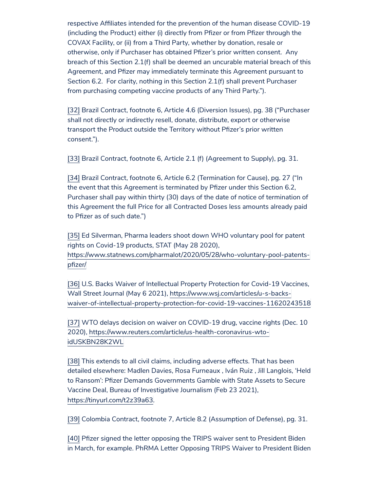respective Affiliates intended for the prevention of the human disease COVID-19 (including the Product) either (i) directly from Pfizer or from Pfizer through the COVAX Facility, or (ii) from a Third Party, whether by donation, resale or otherwise, only if Purchaser has obtained Pfizer's prior written consent. Any breach of this Section 2.1(f) shall be deemed an uncurable material breach of this Agreement, and Pfizer may immediately terminate this Agreement pursuant to Section 6.2. For clarity, nothing in this Section 2.1(f) shall prevent Purchaser from purchasing competing vaccine products of any Third Party.").

<span id="page-9-0"></span>[\[32\]](#page-3-2) Brazil Contract, footnote 6, Article 4.6 (Diversion Issues), pg. 38 ("Purchaser shall not directly or indirectly resell, donate, distribute, export or otherwise transport the Product outside the Territory without Pfizer's prior written consent.").

<span id="page-9-1"></span>[\[33\]](#page-3-3) Brazil Contract, footnote 6, Article 2.1 (f) (Agreement to Supply), pg. 31.

<span id="page-9-2"></span>[\[34\]](#page-3-4) Brazil Contract, footnote 6, Article 6.2 (Termination for Cause), pg. 27 ("In the event that this Agreement is terminated by Pfizer under this Section 6.2, Purchaser shall pay within thirty (30) days of the date of notice of termination of this Agreement the full Price for all Contracted Doses less amounts already paid to Pfizer as of such date.")

<span id="page-9-3"></span>[\[35\]](#page-3-5) Ed Silverman, Pharma leaders shoot down WHO voluntary pool for patent rights on Covid-19 products, STAT (May 28 2020),

[https://www.statnews.com/pharmalot/2020/05/28/who-voluntary-pool-patents](https://www.statnews.com/pharmalot/2020/05/28/who-voluntary-pool-patents-pfizer/)pfizer/

<span id="page-9-4"></span>[\[36\]](#page-3-6) U.S. Backs Waiver of Intellectual Property Protection for Covid-19 Vaccines, Wall Street Journal (May 6 2021), https://www.wsj.com/articles/u-s-backs[waiver-of-intellectual-property-protection-for-covid-19-vaccines-11620243518](https://www.wsj.com/articles/u-s-backs-waiver-of-intellectual-property-protection-for-covid-19-vaccines-11620243518)

<span id="page-9-5"></span>[\[37\]](#page-3-7) WTO delays decision on waiver on COVID-19 drug, vaccine rights (Dec. 10 2020), [https://www.reuters.com/article/us-health-coronavirus-wto](https://www.reuters.com/article/us-health-coronavirus-wto-idUSKBN28K2WL)idUSKBN28K2WL

<span id="page-9-6"></span>[\[38\]](#page-3-8) This extends to all civil claims, including adverse effects. That has been detailed elsewhere: Madlen Davies, Rosa Furneaux , Iván Ruiz , Jill Langlois, 'Held to Ransom': Pfizer Demands Governments Gamble with State Assets to Secure Vaccine Deal, Bureau of Investigative Journalism (Feb 23 2021), [https://tinyurl.com/t2z39a63.](https://tinyurl.com/t2z39a63)

<span id="page-9-7"></span>[\[39\]](#page-3-9) Colombia Contract, footnote 7, Article 8.2 (Assumption of Defense), pg. 31.

<span id="page-9-8"></span>[\[40\]](#page-3-10) Pfizer signed the letter opposing the TRIPS waiver sent to President Biden in March, for example. PhRMA Letter Opposing TRIPS Waiver to President Biden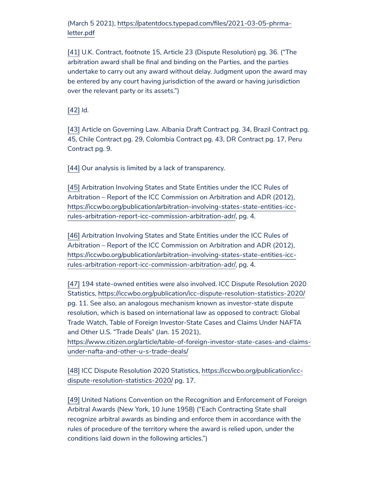(March 5 2021), [https://patentdocs.typepad.com/files/2021-03-05-phrma](https://patentdocs.typepad.com/files/2021-03-05-phrma-letter.pdf)letter.pdf

<span id="page-10-0"></span>[\[41\]](#page-3-11) U.K. Contract, footnote 15, Article 23 (Dispute Resolution) pg. 36. ("The arbitration award shall be final and binding on the Parties, and the parties undertake to carry out any award without delay. Judgment upon the award may be entered by any court having jurisdiction of the award or having jurisdiction over the relevant party or its assets.")

<span id="page-10-1"></span>[\[42\]](#page-4-1) *Id.*

<span id="page-10-2"></span>[\[43\]](#page-4-2) Article on Governing Law. Albania Draft Contract pg. 34, Brazil Contract pg. 45, Chile Contract pg. 29, Colombia Contract pg. 43, DR Contract pg. 17, Peru Contract pg. 9.

<span id="page-10-3"></span>[\[44\]](#page-4-3) Our analysis is limited by a lack of transparency.

<span id="page-10-4"></span>[\[45\]](#page-4-4) Arbitration Involving States and State Entities under the ICC Rules of Arbitration – Report of the ICC Commission on Arbitration and ADR (2012), [https://iccwbo.org/publication/arbitration-involving-states-state-entities-icc](https://iccwbo.org/publication/arbitration-involving-states-state-entities-icc-rules-arbitration-report-icc-commission-arbitration-adr/)rules-arbitration-report-icc-commission-arbitration-adr/, pg. 4.

<span id="page-10-5"></span>[\[46\]](#page-4-5) Arbitration Involving States and State Entities under the ICC Rules of Arbitration – Report of the ICC Commission on Arbitration and ADR (2012), [https://iccwbo.org/publication/arbitration-involving-states-state-entities-icc](https://iccwbo.org/publication/arbitration-involving-states-state-entities-icc-rules-arbitration-report-icc-commission-arbitration-adr/)rules-arbitration-report-icc-commission-arbitration-adr/, pg. 4.

<span id="page-10-6"></span>[\[47\]](#page-4-6) 194 state-owned entities were also involved. ICC Dispute Resolution 2020 Statistics, <https://iccwbo.org/publication/icc-dispute-resolution-statistics-2020/> pg. 11. See also, an analogous mechanism known as investor-state dispute resolution, which is based on international law as opposed to contract: Global Trade Watch, Table of Foreign Investor-State Cases and Claims Under NAFTA and Other U.S. "Trade Deals" (Jan. 15 2021),

[https://www.citizen.org/article/table-of-foreign-investor-state-cases-and-claims](https://www.citizen.org/article/table-of-foreign-investor-state-cases-and-claims-under-nafta-and-other-u-s-trade-deals/)under-nafta-and-other-u-s-trade-deals/

<span id="page-10-7"></span>[\[48\]](#page-4-7) ICC Dispute Resolution 2020 Statistics, https://iccwbo.org/publication/icc[dispute-resolution-statistics-2020/](https://iccwbo.org/publication/icc-dispute-resolution-statistics-2020/) pg. 17.

<span id="page-10-8"></span>[\[49\]](#page-4-8) United Nations Convention on the Recognition and Enforcement of Foreign Arbitral Awards (New York, 10 June 1958) ("Each Contracting State shall recognize arbitral awards as binding and enforce them in accordance with the rules of procedure of the territory where the award is relied upon, under the conditions laid down in the following articles.")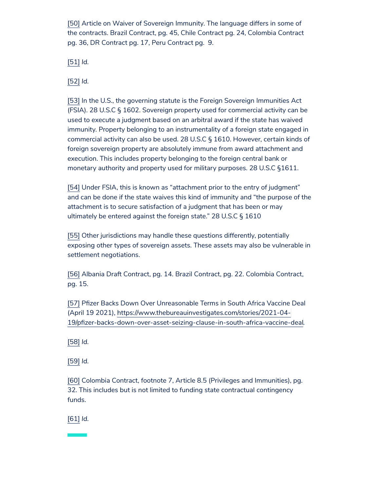<span id="page-11-0"></span>[\[50\]](#page-4-9) Article on Waiver of Sovereign Immunity. The language differs in some of the contracts. Brazil Contract, pg. 45, Chile Contract pg. 24, Colombia Contract pg. 36, DR Contract pg. 17, Peru Contract pg. 9.

<span id="page-11-1"></span>[\[51\]](#page-4-10) *Id.*

<span id="page-11-2"></span>[\[52\]](#page-4-11) *Id.*

<span id="page-11-3"></span>[\[53\]](#page-4-12) In the U.S., the governing statute is the Foreign Sovereign Immunities Act (FSIA). 28 U.S.C § 1602. Sovereign property used for commercial activity can be used to execute a judgment based on an arbitral award if the state has waived immunity. Property belonging to an instrumentality of a foreign state engaged in commercial activity can also be used. 28 U.S.C § 1610. However, certain kinds of foreign sovereign property are absolutely immune from award attachment and execution. This includes property belonging to the foreign central bank or monetary authority and property used for military purposes. 28 U.S.C §1611.

<span id="page-11-4"></span>[\[54\]](#page-4-13) Under FSIA, this is known as "attachment prior to the entry of judgment" and can be done if the state waives this kind of immunity and "the purpose of the attachment is to secure satisfaction of a judgment that has been or may ultimately be entered against the foreign state." 28 U.S.C § 1610

<span id="page-11-5"></span>[\[55\]](#page-5-4) Other jurisdictions may handle these questions differently, potentially exposing other types of sovereign assets. These assets may also be vulnerable in settlement negotiations.

<span id="page-11-6"></span>[\[56\]](#page-5-5) Albania Draft Contract, pg. 14. Brazil Contract, pg. 22. Colombia Contract, pg. 15.

<span id="page-11-7"></span>[\[57\]](#page-5-6) Pfizer Backs Down Over Unreasonable Terms in South Africa Vaccine Deal (April 19 2021), https://www.thebureauinvestigates.com/stories/2021-04- [19/pfizer-backs-down-over-asset-seizing-clause-in-south-africa-vaccine-deal.](https://www.thebureauinvestigates.com/stories/2021-04-19/pfizer-backs-down-over-asset-seizing-clause-in-south-africa-vaccine-deal)

<span id="page-11-8"></span>[\[58\]](#page-5-7) *Id.*

<span id="page-11-9"></span>[\[59\]](#page-5-8) *Id.*

<span id="page-11-10"></span>[\[60\]](#page-5-9) Colombia Contract, footnote 7, Article 8.5 (Privileges and Immunities), pg. 32. This includes but is not limited to funding state contractual contingency funds.

<span id="page-11-11"></span>[\[61\]](#page-5-10) *Id.*